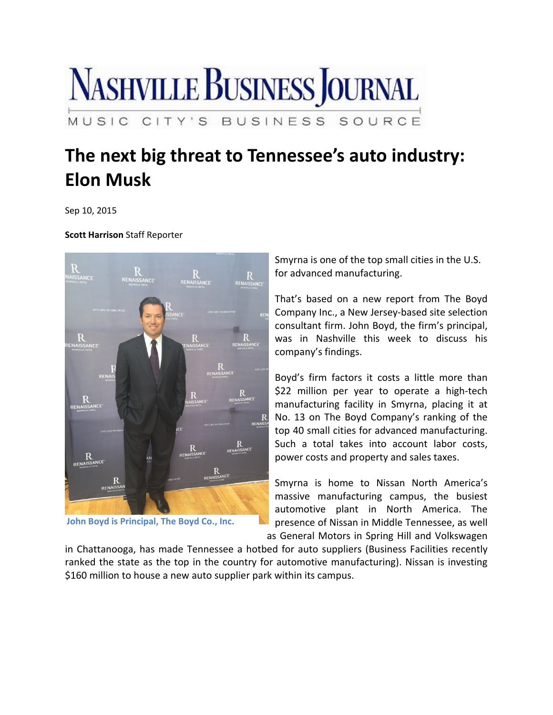

## **The next big threat to Tennessee's auto industry: Elon Musk**

Sep 10, 2015

**Scott Harrison** Staff Reporter



**John Boyd is Principal, The Boyd Co., Inc.**

Smyrna is one of the top small cities in the U.S. for advanced manufacturing.

That's based on a new report from The Boyd Company Inc., a New Jersey‐based site selection consultant firm. John Boyd, the firm's principal, was in Nashville this week to discuss his company's findings.

Boyd's firm factors it costs a little more than \$22 million per year to operate a high-tech manufacturing facility in Smyrna, placing it at No. 13 on The Boyd Company's ranking of the top 40 small cities for advanced manufacturing. Such a total takes into account labor costs, power costs and property and sales taxes.

Smyrna is home to Nissan North America's massive manufacturing campus, the busiest automotive plant in North America. The presence of Nissan in Middle Tennessee, as well as General Motors in Spring Hill and Volkswagen

in Chattanooga, has made Tennessee a hotbed for auto suppliers (Business Facilities recently ranked the state as the top in the country for automotive manufacturing). Nissan is investing \$160 million to house a new auto supplier park within its campus.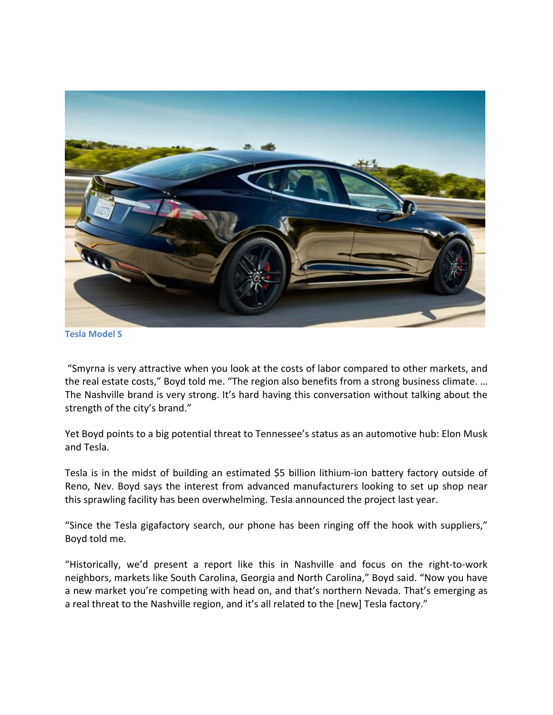

**Tesla Model S**

"Smyrna is very attractive when you look at the costs of labor compared to other markets, and the real estate costs," Boyd told me. "The region also benefits from a strong business climate. … The Nashville brand is very strong. It's hard having this conversation without talking about the strength of the city's brand."

Yet Boyd points to a big potential threat to Tennessee's status as an automotive hub: Elon Musk and Tesla.

Tesla is in the midst of building an estimated \$5 billion lithium‐ion battery factory outside of Reno, Nev. Boyd says the interest from advanced manufacturers looking to set up shop near this sprawling facility has been overwhelming. Tesla announced the project last year.

"Since the Tesla gigafactory search, our phone has been ringing off the hook with suppliers," Boyd told me.

"Historically, we'd present a report like this in Nashville and focus on the right‐to‐work neighbors, markets like South Carolina, Georgia and North Carolina," Boyd said. "Now you have a new market you're competing with head on, and that's northern Nevada. That's emerging as a real threat to the Nashville region, and it's all related to the [new] Tesla factory."